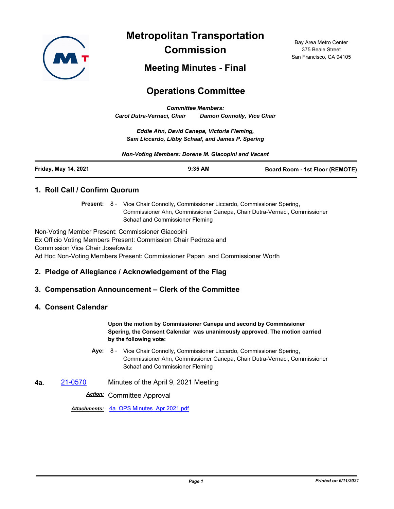

**Metropolitan Transportation Commission**

Bay Area Metro Center 375 Beale Street San Francisco, CA 94105

# **Meeting Minutes - Final**

# **Operations Committee**

*Committee Members: Carol Dutra-Vernaci, Chair Damon Connolly, Vice Chair*

*Eddie Ahn, David Canepa, Victoria Fleming, Sam Liccardo, Libby Schaaf, and James P. Spering*

*Non-Voting Members: Dorene M. Giacopini and Vacant*

| Friday, May 14, 2021<br>$9:35$ AM<br><b>Board Room - 1st Floor (REMOTE)</b> |  |
|-----------------------------------------------------------------------------|--|
|-----------------------------------------------------------------------------|--|

# **1. Roll Call / Confirm Quorum**

Present: 8 - Vice Chair Connolly, Commissioner Liccardo, Commissioner Spering, Commissioner Ahn, Commissioner Canepa, Chair Dutra-Vernaci, Commissioner Schaaf and Commissioner Fleming

Non-Voting Member Present: Commissioner Giacopini Ex Officio Voting Members Present: Commission Chair Pedroza and Commission Vice Chair Josefowitz Ad Hoc Non-Voting Members Present: Commissioner Papan and Commissioner Worth

# **2. Pledge of Allegiance / Acknowledgement of the Flag**

# **3. Compensation Announcement – Clerk of the Committee**

#### **4. Consent Calendar**

**Upon the motion by Commissioner Canepa and second by Commissioner Spering, the Consent Calendar was unanimously approved. The motion carried by the following vote:**

- Aye: 8 Vice Chair Connolly, Commissioner Liccardo, Commissioner Spering, Commissioner Ahn, Commissioner Canepa, Chair Dutra-Vernaci, Commissioner Schaaf and Commissioner Fleming
- **4a.** [21-0570](http://mtc.legistar.com/gateway.aspx?m=l&id=/matter.aspx?key=22163) Minutes of the April 9, 2021 Meeting

*Action:* Committee Approval

*Attachments:* [4a\\_OPS Minutes\\_Apr 2021.pdf](http://mtc.legistar.com/gateway.aspx?M=F&ID=a171e184-0b3b-4c9c-9f52-e7d6bb9d6c12.pdf)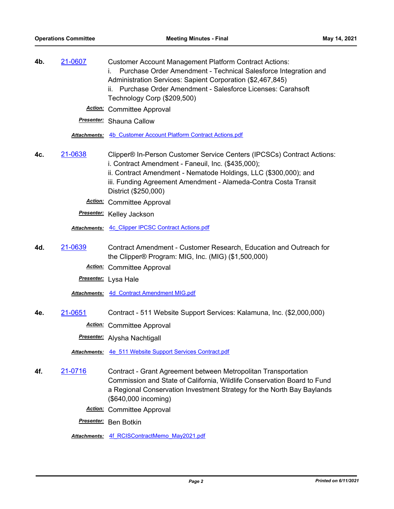| 4b. | 21-0607 | <b>Customer Account Management Platform Contract Actions:</b><br>Purchase Order Amendment - Technical Salesforce Integration and<br>Administration Services: Sapient Corporation (\$2,467,845)<br>Purchase Order Amendment - Salesforce Licenses: Carahsoft<br>ii.<br>Technology Corp (\$209,500)<br><b>Action:</b> Committee Approval |
|-----|---------|----------------------------------------------------------------------------------------------------------------------------------------------------------------------------------------------------------------------------------------------------------------------------------------------------------------------------------------|
|     |         | <b>Presenter:</b> Shauna Callow                                                                                                                                                                                                                                                                                                        |
|     |         | Attachments: 4b Customer Account Platform Contract Actions.pdf                                                                                                                                                                                                                                                                         |
| 4c. | 21-0638 | Clipper® In-Person Customer Service Centers (IPCSCs) Contract Actions:<br>i. Contract Amendment - Faneuil, Inc. (\$435,000);<br>ii. Contract Amendment - Nematode Holdings, LLC (\$300,000); and<br>iii. Funding Agreement Amendment - Alameda-Contra Costa Transit<br>District (\$250,000)                                            |
|     |         | <b>Action:</b> Committee Approval                                                                                                                                                                                                                                                                                                      |
|     |         | Presenter: Kelley Jackson                                                                                                                                                                                                                                                                                                              |
|     |         | <b>Attachments: 4c Clipper IPCSC Contract Actions.pdf</b>                                                                                                                                                                                                                                                                              |
| 4d. | 21-0639 | Contract Amendment - Customer Research, Education and Outreach for<br>the Clipper® Program: MIG, Inc. (MIG) (\$1,500,000)                                                                                                                                                                                                              |
|     |         | <b>Action:</b> Committee Approval                                                                                                                                                                                                                                                                                                      |
|     |         | Presenter: Lysa Hale                                                                                                                                                                                                                                                                                                                   |
|     |         | <b>Attachments: 4d Contract Amendment MIG.pdf</b>                                                                                                                                                                                                                                                                                      |
| 4e. | 21-0651 | Contract - 511 Website Support Services: Kalamuna, Inc. (\$2,000,000)                                                                                                                                                                                                                                                                  |
|     |         | <b>Action:</b> Committee Approval                                                                                                                                                                                                                                                                                                      |
|     |         | <b>Presenter:</b> Alysha Nachtigall                                                                                                                                                                                                                                                                                                    |
|     |         | Attachments: 4e 511 Website Support Services Contract.pdf                                                                                                                                                                                                                                                                              |
| 4f. | 21-0716 | Contract - Grant Agreement between Metropolitan Transportation<br>Commission and State of California, Wildlife Conservation Board to Fund<br>a Regional Conservation Investment Strategy for the North Bay Baylands<br>(\$640,000 incoming)                                                                                            |
|     |         | <b>Action:</b> Committee Approval                                                                                                                                                                                                                                                                                                      |
|     |         | Presenter: Ben Botkin                                                                                                                                                                                                                                                                                                                  |
|     |         | Attachments: 4f RCISContractMemo May2021.pdf                                                                                                                                                                                                                                                                                           |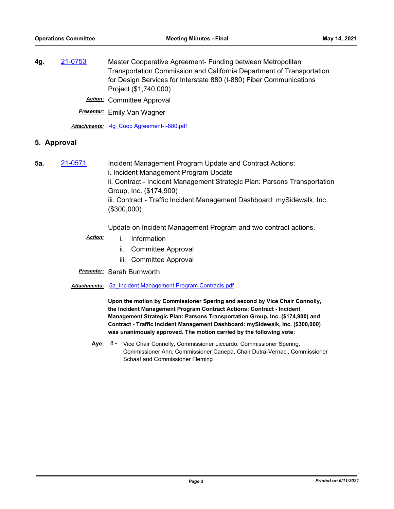**4g.** [21-0753](http://mtc.legistar.com/gateway.aspx?m=l&id=/matter.aspx?key=22346) Master Cooperative Agreement- Funding between Metropolitan Transportation Commission and California Department of Transportation for Design Services for Interstate 880 (I-880) Fiber Communications Project (\$1,740,000)

*Action:* Committee Approval

*Presenter:* Emily Van Wagner

*Attachments:* [4g\\_Coop Agreement-I-880.pdf](http://mtc.legistar.com/gateway.aspx?M=F&ID=39f82ad1-fded-459a-90a5-fe866e5961b4.pdf)

#### **5. Approval**

**5a.** [21-0571](http://mtc.legistar.com/gateway.aspx?m=l&id=/matter.aspx?key=22164) Incident Management Program Update and Contract Actions: i. Incident Management Program Update ii. Contract - Incident Management Strategic Plan: Parsons Transportation Group, Inc. (\$174,900) iii. Contract - Traffic Incident Management Dashboard: mySidewalk, Inc. (\$300,000)

Update on Incident Management Program and two contract actions.

- *Action:* i. Information
	- ii. Committee Approval
	- iii. Committee Approval
- *Presenter:* Sarah Burnworth
- *Attachments:* [5a\\_Incident Management Program Contracts.pdf](http://mtc.legistar.com/gateway.aspx?M=F&ID=57c23cb8-d635-4644-abd3-298a7988d650.pdf)

**Upon the motion by Commissioner Spering and second by Vice Chair Connolly, the Incident Management Program Contract Actions: Contract - Incident Management Strategic Plan: Parsons Transportation Group, Inc. (\$174,900) and Contract - Traffic Incident Management Dashboard: mySidewalk, Inc. (\$300,000) was unanimously approved. The motion carried by the following vote:**

Aye: 8 - Vice Chair Connolly, Commissioner Liccardo, Commissioner Spering, Commissioner Ahn, Commissioner Canepa, Chair Dutra-Vernaci, Commissioner Schaaf and Commissioner Fleming